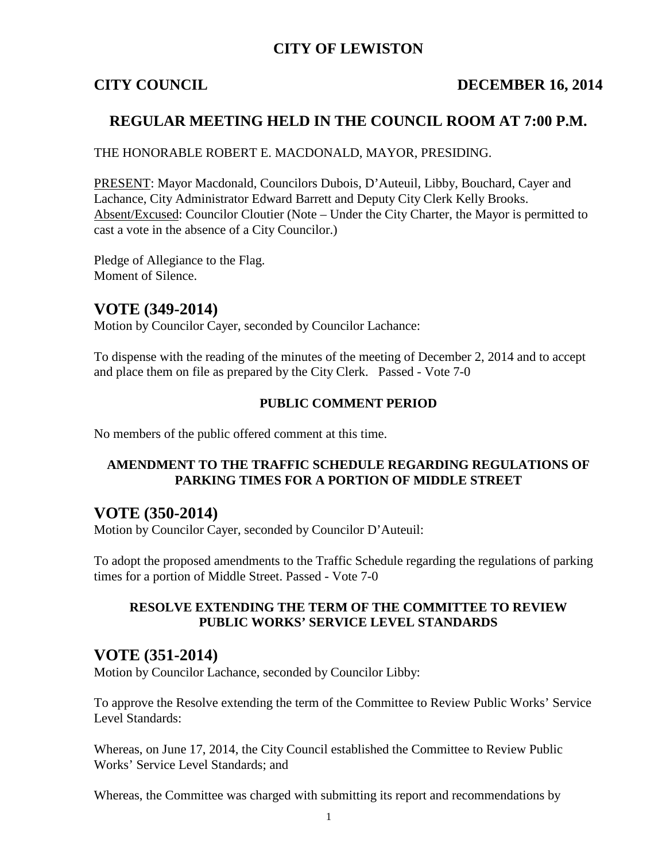## **CITY OF LEWISTON**

### **CITY COUNCIL DECEMBER 16, 2014**

## **REGULAR MEETING HELD IN THE COUNCIL ROOM AT 7:00 P.M.**

THE HONORABLE ROBERT E. MACDONALD, MAYOR, PRESIDING.

PRESENT: Mayor Macdonald, Councilors Dubois, D'Auteuil, Libby, Bouchard, Cayer and Lachance, City Administrator Edward Barrett and Deputy City Clerk Kelly Brooks. Absent/Excused: Councilor Cloutier (Note – Under the City Charter, the Mayor is permitted to cast a vote in the absence of a City Councilor.)

Pledge of Allegiance to the Flag. Moment of Silence.

## **VOTE (349-2014)**

Motion by Councilor Cayer, seconded by Councilor Lachance:

To dispense with the reading of the minutes of the meeting of December 2, 2014 and to accept and place them on file as prepared by the City Clerk. Passed - Vote 7-0

### **PUBLIC COMMENT PERIOD**

No members of the public offered comment at this time.

### **AMENDMENT TO THE TRAFFIC SCHEDULE REGARDING REGULATIONS OF PARKING TIMES FOR A PORTION OF MIDDLE STREET**

# **VOTE (350-2014)**

Motion by Councilor Cayer, seconded by Councilor D'Auteuil:

To adopt the proposed amendments to the Traffic Schedule regarding the regulations of parking times for a portion of Middle Street. Passed - Vote 7-0

### **RESOLVE EXTENDING THE TERM OF THE COMMITTEE TO REVIEW PUBLIC WORKS' SERVICE LEVEL STANDARDS**

# **VOTE (351-2014)**

Motion by Councilor Lachance, seconded by Councilor Libby:

To approve the Resolve extending the term of the Committee to Review Public Works' Service Level Standards:

Whereas, on June 17, 2014, the City Council established the Committee to Review Public Works' Service Level Standards; and

Whereas, the Committee was charged with submitting its report and recommendations by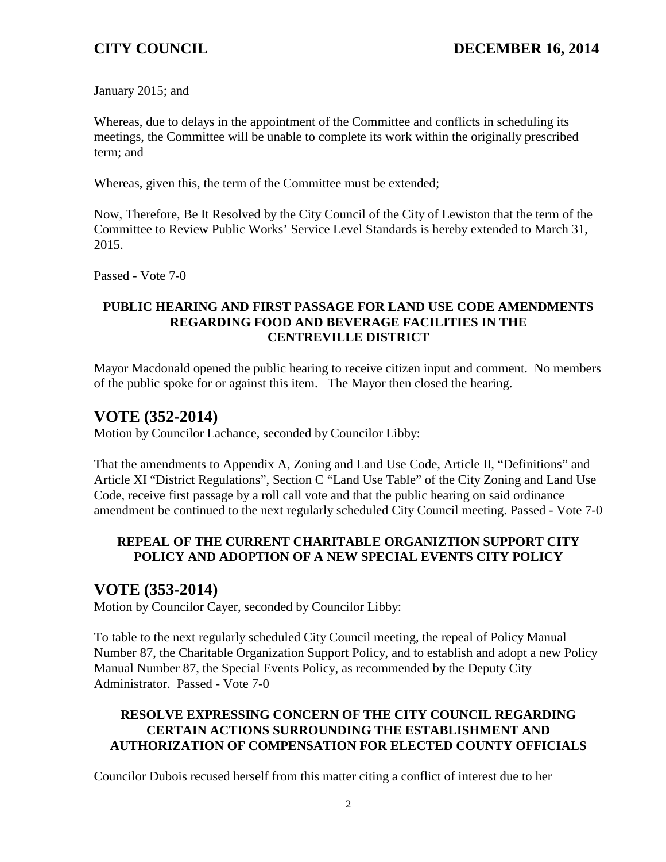January 2015; and

Whereas, due to delays in the appointment of the Committee and conflicts in scheduling its meetings, the Committee will be unable to complete its work within the originally prescribed term; and

Whereas, given this, the term of the Committee must be extended;

Now, Therefore, Be It Resolved by the City Council of the City of Lewiston that the term of the Committee to Review Public Works' Service Level Standards is hereby extended to March 31, 2015.

Passed - Vote 7-0

### **PUBLIC HEARING AND FIRST PASSAGE FOR LAND USE CODE AMENDMENTS REGARDING FOOD AND BEVERAGE FACILITIES IN THE CENTREVILLE DISTRICT**

Mayor Macdonald opened the public hearing to receive citizen input and comment. No members of the public spoke for or against this item. The Mayor then closed the hearing.

# **VOTE (352-2014)**

Motion by Councilor Lachance, seconded by Councilor Libby:

That the amendments to Appendix A, Zoning and Land Use Code, Article II, "Definitions" and Article XI "District Regulations", Section C "Land Use Table" of the City Zoning and Land Use Code, receive first passage by a roll call vote and that the public hearing on said ordinance amendment be continued to the next regularly scheduled City Council meeting. Passed - Vote 7-0

## **REPEAL OF THE CURRENT CHARITABLE ORGANIZTION SUPPORT CITY POLICY AND ADOPTION OF A NEW SPECIAL EVENTS CITY POLICY**

# **VOTE (353-2014)**

Motion by Councilor Cayer, seconded by Councilor Libby:

To table to the next regularly scheduled City Council meeting, the repeal of Policy Manual Number 87, the Charitable Organization Support Policy, and to establish and adopt a new Policy Manual Number 87, the Special Events Policy, as recommended by the Deputy City Administrator. Passed - Vote 7-0

### **RESOLVE EXPRESSING CONCERN OF THE CITY COUNCIL REGARDING CERTAIN ACTIONS SURROUNDING THE ESTABLISHMENT AND AUTHORIZATION OF COMPENSATION FOR ELECTED COUNTY OFFICIALS**

Councilor Dubois recused herself from this matter citing a conflict of interest due to her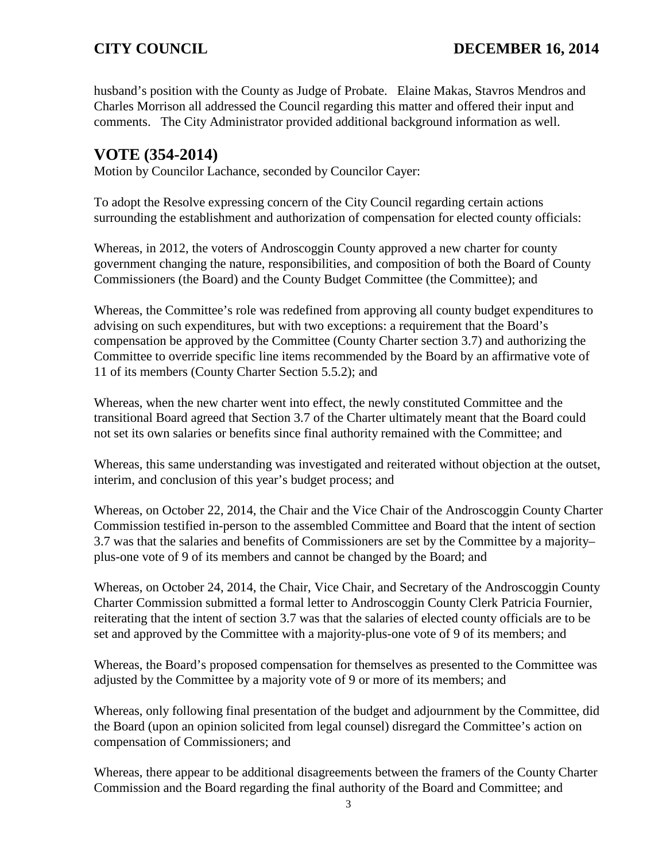husband's position with the County as Judge of Probate. Elaine Makas, Stavros Mendros and Charles Morrison all addressed the Council regarding this matter and offered their input and comments. The City Administrator provided additional background information as well.

# **VOTE (354-2014)**

Motion by Councilor Lachance, seconded by Councilor Cayer:

To adopt the Resolve expressing concern of the City Council regarding certain actions surrounding the establishment and authorization of compensation for elected county officials:

Whereas, in 2012, the voters of Androscoggin County approved a new charter for county government changing the nature, responsibilities, and composition of both the Board of County Commissioners (the Board) and the County Budget Committee (the Committee); and

Whereas, the Committee's role was redefined from approving all county budget expenditures to advising on such expenditures, but with two exceptions: a requirement that the Board's compensation be approved by the Committee (County Charter section 3.7) and authorizing the Committee to override specific line items recommended by the Board by an affirmative vote of 11 of its members (County Charter Section 5.5.2); and

Whereas, when the new charter went into effect, the newly constituted Committee and the transitional Board agreed that Section 3.7 of the Charter ultimately meant that the Board could not set its own salaries or benefits since final authority remained with the Committee; and

Whereas, this same understanding was investigated and reiterated without objection at the outset, interim, and conclusion of this year's budget process; and

Whereas, on October 22, 2014, the Chair and the Vice Chair of the Androscoggin County Charter Commission testified in-person to the assembled Committee and Board that the intent of section 3.7 was that the salaries and benefits of Commissioners are set by the Committee by a majority– plus-one vote of 9 of its members and cannot be changed by the Board; and

Whereas, on October 24, 2014, the Chair, Vice Chair, and Secretary of the Androscoggin County Charter Commission submitted a formal letter to Androscoggin County Clerk Patricia Fournier, reiterating that the intent of section 3.7 was that the salaries of elected county officials are to be set and approved by the Committee with a majority-plus-one vote of 9 of its members; and

Whereas, the Board's proposed compensation for themselves as presented to the Committee was adjusted by the Committee by a majority vote of 9 or more of its members; and

Whereas, only following final presentation of the budget and adjournment by the Committee, did the Board (upon an opinion solicited from legal counsel) disregard the Committee's action on compensation of Commissioners; and

Whereas, there appear to be additional disagreements between the framers of the County Charter Commission and the Board regarding the final authority of the Board and Committee; and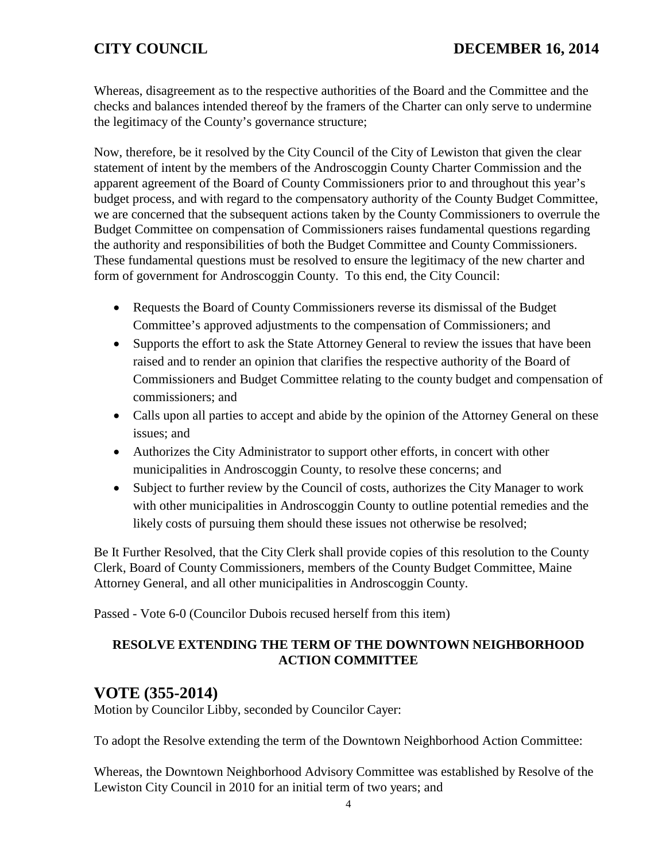Whereas, disagreement as to the respective authorities of the Board and the Committee and the checks and balances intended thereof by the framers of the Charter can only serve to undermine the legitimacy of the County's governance structure;

Now, therefore, be it resolved by the City Council of the City of Lewiston that given the clear statement of intent by the members of the Androscoggin County Charter Commission and the apparent agreement of the Board of County Commissioners prior to and throughout this year's budget process, and with regard to the compensatory authority of the County Budget Committee, we are concerned that the subsequent actions taken by the County Commissioners to overrule the Budget Committee on compensation of Commissioners raises fundamental questions regarding the authority and responsibilities of both the Budget Committee and County Commissioners. These fundamental questions must be resolved to ensure the legitimacy of the new charter and form of government for Androscoggin County. To this end, the City Council:

- Requests the Board of County Commissioners reverse its dismissal of the Budget Committee's approved adjustments to the compensation of Commissioners; and
- Supports the effort to ask the State Attorney General to review the issues that have been raised and to render an opinion that clarifies the respective authority of the Board of Commissioners and Budget Committee relating to the county budget and compensation of commissioners; and
- Calls upon all parties to accept and abide by the opinion of the Attorney General on these issues; and
- Authorizes the City Administrator to support other efforts, in concert with other municipalities in Androscoggin County, to resolve these concerns; and
- Subject to further review by the Council of costs, authorizes the City Manager to work with other municipalities in Androscoggin County to outline potential remedies and the likely costs of pursuing them should these issues not otherwise be resolved;

Be It Further Resolved, that the City Clerk shall provide copies of this resolution to the County Clerk, Board of County Commissioners, members of the County Budget Committee, Maine Attorney General, and all other municipalities in Androscoggin County.

Passed - Vote 6-0 (Councilor Dubois recused herself from this item)

## **RESOLVE EXTENDING THE TERM OF THE DOWNTOWN NEIGHBORHOOD ACTION COMMITTEE**

# **VOTE (355-2014)**

Motion by Councilor Libby, seconded by Councilor Cayer:

To adopt the Resolve extending the term of the Downtown Neighborhood Action Committee:

Whereas, the Downtown Neighborhood Advisory Committee was established by Resolve of the Lewiston City Council in 2010 for an initial term of two years; and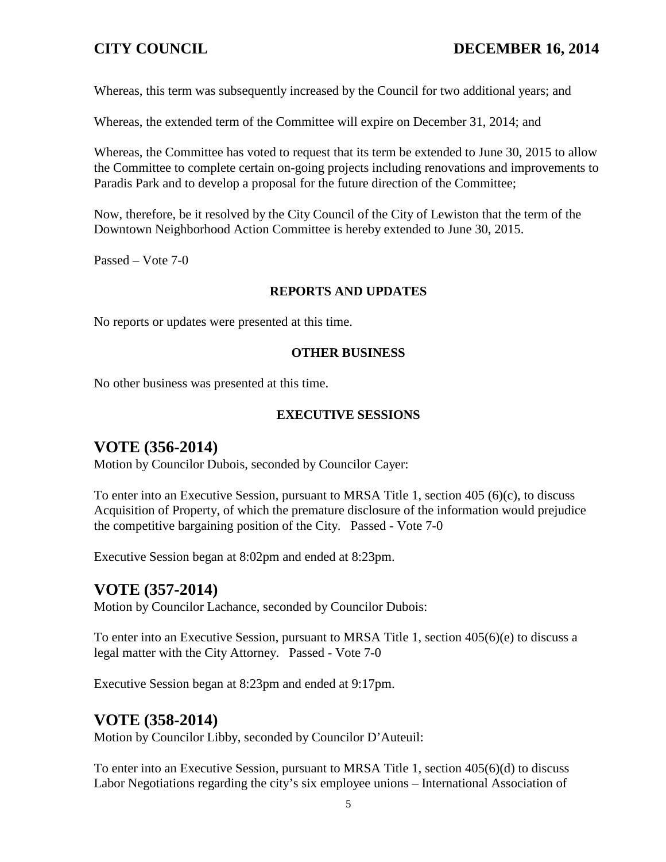Whereas, this term was subsequently increased by the Council for two additional years; and

Whereas, the extended term of the Committee will expire on December 31, 2014; and

Whereas, the Committee has voted to request that its term be extended to June 30, 2015 to allow the Committee to complete certain on-going projects including renovations and improvements to Paradis Park and to develop a proposal for the future direction of the Committee;

Now, therefore, be it resolved by the City Council of the City of Lewiston that the term of the Downtown Neighborhood Action Committee is hereby extended to June 30, 2015.

Passed – Vote 7-0

### **REPORTS AND UPDATES**

No reports or updates were presented at this time.

### **OTHER BUSINESS**

No other business was presented at this time.

### **EXECUTIVE SESSIONS**

# **VOTE (356-2014)**

Motion by Councilor Dubois, seconded by Councilor Cayer:

To enter into an Executive Session, pursuant to MRSA Title 1, section 405 (6)(c), to discuss Acquisition of Property, of which the premature disclosure of the information would prejudice the competitive bargaining position of the City. Passed - Vote 7-0

Executive Session began at 8:02pm and ended at 8:23pm.

# **VOTE (357-2014)**

Motion by Councilor Lachance, seconded by Councilor Dubois:

To enter into an Executive Session, pursuant to MRSA Title 1, section 405(6)(e) to discuss a legal matter with the City Attorney. Passed - Vote 7-0

Executive Session began at 8:23pm and ended at 9:17pm.

# **VOTE (358-2014)**

Motion by Councilor Libby, seconded by Councilor D'Auteuil:

To enter into an Executive Session, pursuant to MRSA Title 1, section 405(6)(d) to discuss Labor Negotiations regarding the city's six employee unions – International Association of